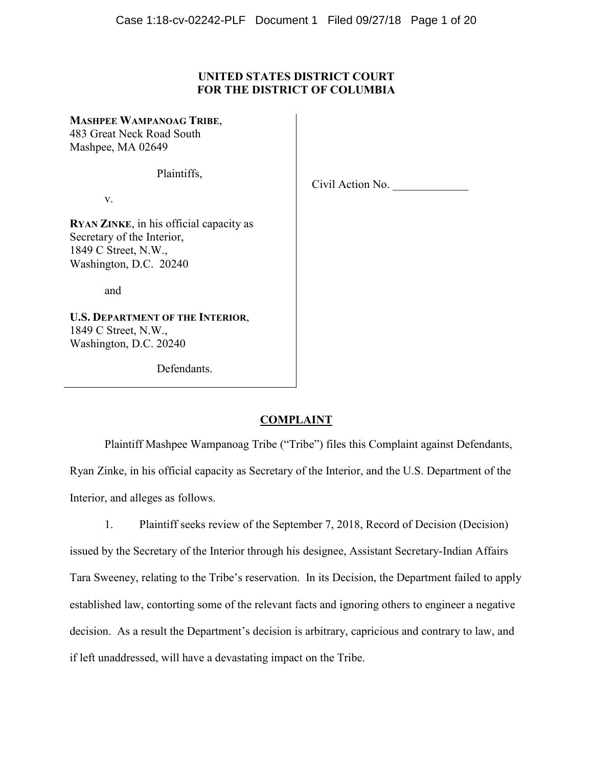# **UNITED STATES DISTRICT COURT FOR THE DISTRICT OF COLUMBIA**

## **MASHPEE WAMPANOAG TRIBE**,

483 Great Neck Road South Mashpee, MA 02649

Plaintiffs,

v.

Civil Action No.

**RYAN ZINKE**, in his official capacity as Secretary of the Interior, 1849 C Street, N.W., Washington, D.C. 20240

and

**U.S. DEPARTMENT OF THE INTERIOR**, 1849 C Street, N.W., Washington, D.C. 20240

Defendants.

# **COMPLAINT**

Plaintiff Mashpee Wampanoag Tribe ("Tribe") files this Complaint against Defendants, Ryan Zinke, in his official capacity as Secretary of the Interior, and the U.S. Department of the Interior, and alleges as follows.

1. Plaintiff seeks review of the September 7, 2018, Record of Decision (Decision) issued by the Secretary of the Interior through his designee, Assistant Secretary-Indian Affairs Tara Sweeney, relating to the Tribe's reservation. In its Decision, the Department failed to apply established law, contorting some of the relevant facts and ignoring others to engineer a negative decision. As a result the Department's decision is arbitrary, capricious and contrary to law, and if left unaddressed, will have a devastating impact on the Tribe.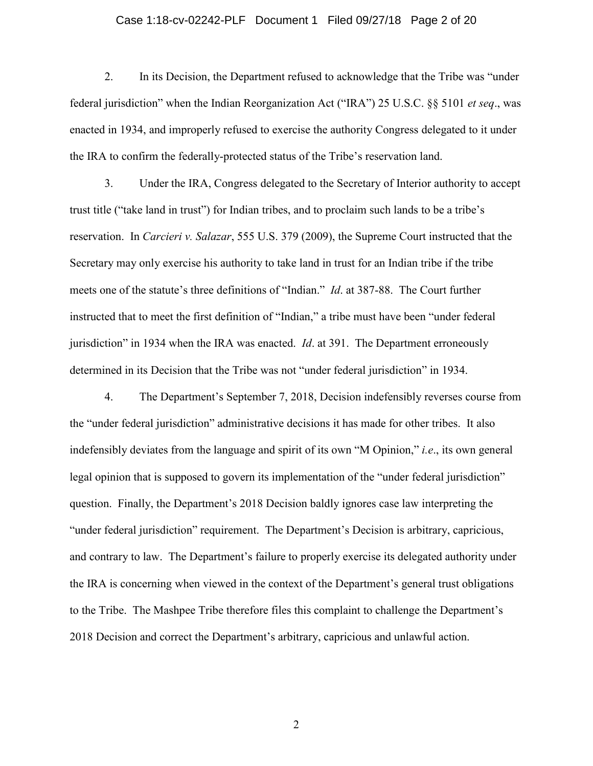### Case 1:18-cv-02242-PLF Document 1 Filed 09/27/18 Page 2 of 20

2. In its Decision, the Department refused to acknowledge that the Tribe was "under federal jurisdiction" when the Indian Reorganization Act ("IRA") 25 U.S.C. §§ 5101 *et seq*., was enacted in 1934, and improperly refused to exercise the authority Congress delegated to it under the IRA to confirm the federally-protected status of the Tribe's reservation land.

3. Under the IRA, Congress delegated to the Secretary of Interior authority to accept trust title ("take land in trust") for Indian tribes, and to proclaim such lands to be a tribe's reservation. In *Carcieri v. Salazar*, 555 U.S. 379 (2009), the Supreme Court instructed that the Secretary may only exercise his authority to take land in trust for an Indian tribe if the tribe meets one of the statute's three definitions of "Indian." *Id*. at 387-88. The Court further instructed that to meet the first definition of "Indian," a tribe must have been "under federal jurisdiction" in 1934 when the IRA was enacted. *Id*. at 391. The Department erroneously determined in its Decision that the Tribe was not "under federal jurisdiction" in 1934.

4. The Department's September 7, 2018, Decision indefensibly reverses course from the "under federal jurisdiction" administrative decisions it has made for other tribes. It also indefensibly deviates from the language and spirit of its own "M Opinion," *i.e*., its own general legal opinion that is supposed to govern its implementation of the "under federal jurisdiction" question. Finally, the Department's 2018 Decision baldly ignores case law interpreting the "under federal jurisdiction" requirement. The Department's Decision is arbitrary, capricious, and contrary to law. The Department's failure to properly exercise its delegated authority under the IRA is concerning when viewed in the context of the Department's general trust obligations to the Tribe. The Mashpee Tribe therefore files this complaint to challenge the Department's 2018 Decision and correct the Department's arbitrary, capricious and unlawful action.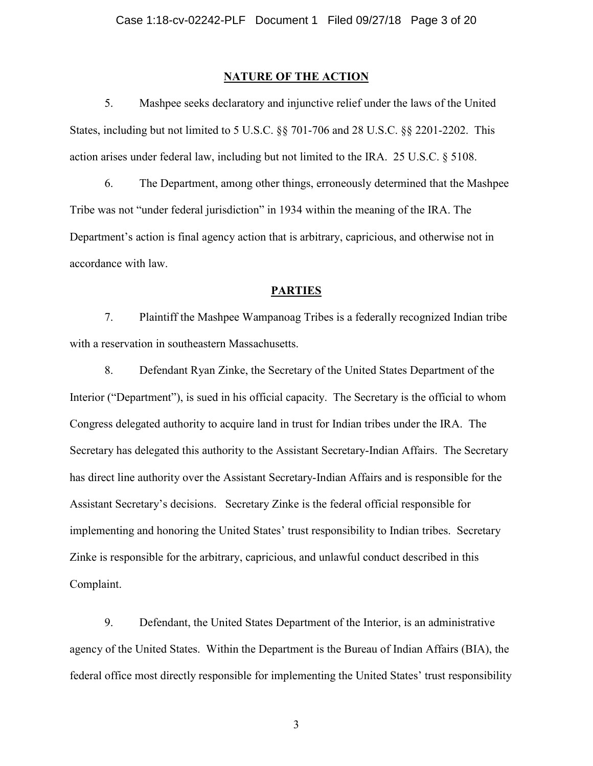## **NATURE OF THE ACTION**

5. Mashpee seeks declaratory and injunctive relief under the laws of the United States, including but not limited to 5 U.S.C. §§ 701-706 and 28 U.S.C. §§ 2201-2202. This action arises under federal law, including but not limited to the IRA. 25 U.S.C. § 5108.

6. The Department, among other things, erroneously determined that the Mashpee Tribe was not "under federal jurisdiction" in 1934 within the meaning of the IRA. The Department's action is final agency action that is arbitrary, capricious, and otherwise not in accordance with law.

#### **PARTIES**

7. Plaintiff the Mashpee Wampanoag Tribes is a federally recognized Indian tribe with a reservation in southeastern Massachusetts.

8. Defendant Ryan Zinke, the Secretary of the United States Department of the Interior ("Department"), is sued in his official capacity. The Secretary is the official to whom Congress delegated authority to acquire land in trust for Indian tribes under the IRA. The Secretary has delegated this authority to the Assistant Secretary-Indian Affairs. The Secretary has direct line authority over the Assistant Secretary-Indian Affairs and is responsible for the Assistant Secretary's decisions. Secretary Zinke is the federal official responsible for implementing and honoring the United States' trust responsibility to Indian tribes. Secretary Zinke is responsible for the arbitrary, capricious, and unlawful conduct described in this Complaint.

9. Defendant, the United States Department of the Interior, is an administrative agency of the United States. Within the Department is the Bureau of Indian Affairs (BIA), the federal office most directly responsible for implementing the United States' trust responsibility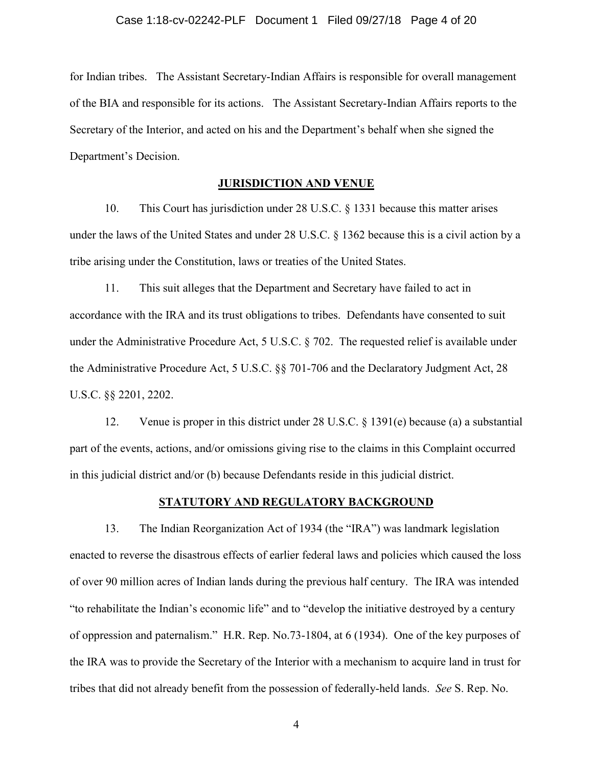for Indian tribes. The Assistant Secretary-Indian Affairs is responsible for overall management of the BIA and responsible for its actions. The Assistant Secretary-Indian Affairs reports to the Secretary of the Interior, and acted on his and the Department's behalf when she signed the Department's Decision.

### **JURISDICTION AND VENUE**

10. This Court has jurisdiction under 28 U.S.C. § 1331 because this matter arises under the laws of the United States and under 28 U.S.C. § 1362 because this is a civil action by a tribe arising under the Constitution, laws or treaties of the United States.

11. This suit alleges that the Department and Secretary have failed to act in accordance with the IRA and its trust obligations to tribes. Defendants have consented to suit under the Administrative Procedure Act, 5 U.S.C. § 702. The requested relief is available under the Administrative Procedure Act, 5 U.S.C. §§ 701-706 and the Declaratory Judgment Act, 28 U.S.C. §§ 2201, 2202.

12. Venue is proper in this district under 28 U.S.C. § 1391(e) because (a) a substantial part of the events, actions, and/or omissions giving rise to the claims in this Complaint occurred in this judicial district and/or (b) because Defendants reside in this judicial district.

### **STATUTORY AND REGULATORY BACKGROUND**

13. The Indian Reorganization Act of 1934 (the "IRA") was landmark legislation enacted to reverse the disastrous effects of earlier federal laws and policies which caused the loss of over 90 million acres of Indian lands during the previous half century. The IRA was intended "to rehabilitate the Indian's economic life" and to "develop the initiative destroyed by a century of oppression and paternalism." H.R. Rep. No.73-1804, at 6 (1934). One of the key purposes of the IRA was to provide the Secretary of the Interior with a mechanism to acquire land in trust for tribes that did not already benefit from the possession of federally-held lands. *See* S. Rep. No.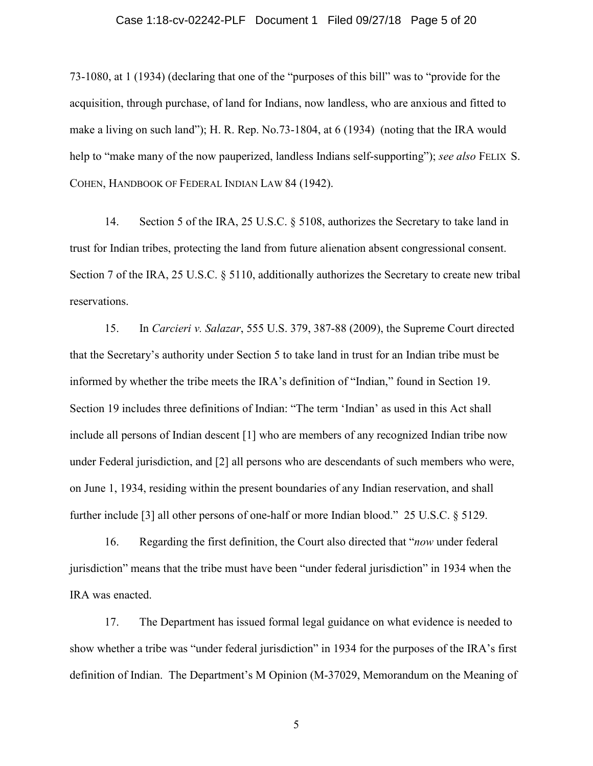# Case 1:18-cv-02242-PLF Document 1 Filed 09/27/18 Page 5 of 20

73-1080, at 1 (1934) (declaring that one of the "purposes of this bill" was to "provide for the acquisition, through purchase, of land for Indians, now landless, who are anxious and fitted to make a living on such land"); H. R. Rep. No.73-1804, at 6 (1934) (noting that the IRA would help to "make many of the now pauperized, landless Indians self-supporting"); *see also* FELIX S. COHEN, HANDBOOK OF FEDERAL INDIAN LAW 84 (1942).

14. Section 5 of the IRA, 25 U.S.C. § 5108, authorizes the Secretary to take land in trust for Indian tribes, protecting the land from future alienation absent congressional consent. Section 7 of the IRA, 25 U.S.C. § 5110, additionally authorizes the Secretary to create new tribal reservations.

15. In *Carcieri v. Salazar*, 555 U.S. 379, 387-88 (2009), the Supreme Court directed that the Secretary's authority under Section 5 to take land in trust for an Indian tribe must be informed by whether the tribe meets the IRA's definition of "Indian," found in Section 19. Section 19 includes three definitions of Indian: "The term 'Indian' as used in this Act shall include all persons of Indian descent [1] who are members of any recognized Indian tribe now under Federal jurisdiction, and [2] all persons who are descendants of such members who were, on June 1, 1934, residing within the present boundaries of any Indian reservation, and shall further include [3] all other persons of one-half or more Indian blood." 25 U.S.C. § 5129.

16. Regarding the first definition, the Court also directed that "*now* under federal jurisdiction" means that the tribe must have been "under federal jurisdiction" in 1934 when the IRA was enacted.

17. The Department has issued formal legal guidance on what evidence is needed to show whether a tribe was "under federal jurisdiction" in 1934 for the purposes of the IRA's first definition of Indian. The Department's M Opinion (M-37029, Memorandum on the Meaning of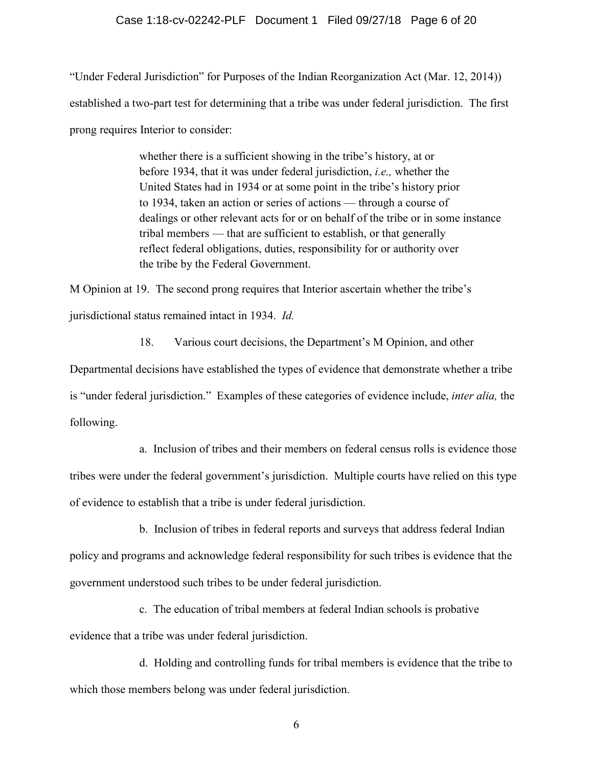### Case 1:18-cv-02242-PLF Document 1 Filed 09/27/18 Page 6 of 20

"Under Federal Jurisdiction" for Purposes of the Indian Reorganization Act (Mar. 12, 2014)) established a two-part test for determining that a tribe was under federal jurisdiction. The first prong requires Interior to consider:

> whether there is a sufficient showing in the tribe's history, at or before 1934, that it was under federal jurisdiction, *i.e.,* whether the United States had in 1934 or at some point in the tribe's history prior to 1934, taken an action or series of actions — through a course of dealings or other relevant acts for or on behalf of the tribe or in some instance tribal members — that are sufficient to establish, or that generally reflect federal obligations, duties, responsibility for or authority over the tribe by the Federal Government.

M Opinion at 19. The second prong requires that Interior ascertain whether the tribe's jurisdictional status remained intact in 1934. *Id.* 

18. Various court decisions, the Department's M Opinion, and other

Departmental decisions have established the types of evidence that demonstrate whether a tribe is "under federal jurisdiction." Examples of these categories of evidence include, *inter alia,* the following.

a. Inclusion of tribes and their members on federal census rolls is evidence those tribes were under the federal government's jurisdiction. Multiple courts have relied on this type of evidence to establish that a tribe is under federal jurisdiction.

b. Inclusion of tribes in federal reports and surveys that address federal Indian policy and programs and acknowledge federal responsibility for such tribes is evidence that the government understood such tribes to be under federal jurisdiction.

c. The education of tribal members at federal Indian schools is probative evidence that a tribe was under federal jurisdiction.

d. Holding and controlling funds for tribal members is evidence that the tribe to which those members belong was under federal jurisdiction.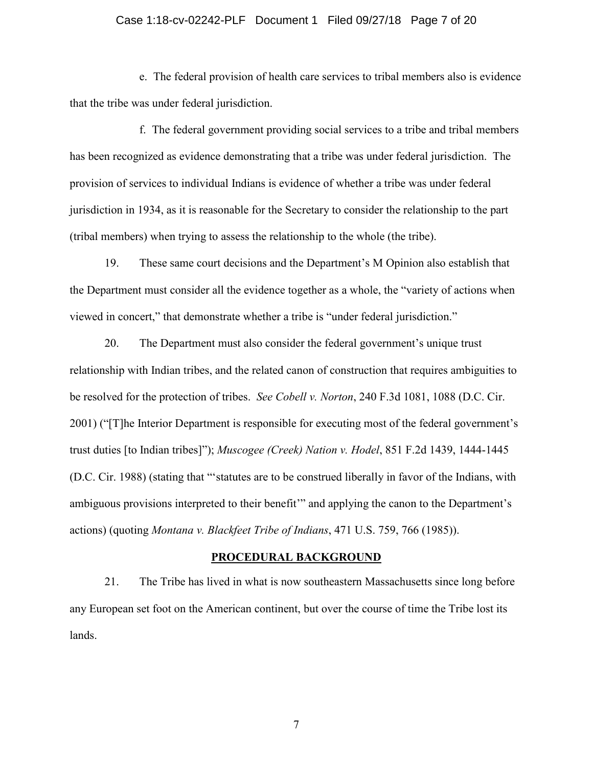# Case 1:18-cv-02242-PLF Document 1 Filed 09/27/18 Page 7 of 20

e. The federal provision of health care services to tribal members also is evidence that the tribe was under federal jurisdiction.

f. The federal government providing social services to a tribe and tribal members has been recognized as evidence demonstrating that a tribe was under federal jurisdiction. The provision of services to individual Indians is evidence of whether a tribe was under federal jurisdiction in 1934, as it is reasonable for the Secretary to consider the relationship to the part (tribal members) when trying to assess the relationship to the whole (the tribe).

19. These same court decisions and the Department's M Opinion also establish that the Department must consider all the evidence together as a whole, the "variety of actions when viewed in concert," that demonstrate whether a tribe is "under federal jurisdiction."

20. The Department must also consider the federal government's unique trust relationship with Indian tribes, and the related canon of construction that requires ambiguities to be resolved for the protection of tribes. *See Cobell v. Norton*, 240 F.3d 1081, 1088 (D.C. Cir. 2001) ("[T]he Interior Department is responsible for executing most of the federal government's trust duties [to Indian tribes]"); *Muscogee (Creek) Nation v. Hodel*, 851 F.2d 1439, 1444-1445 (D.C. Cir. 1988) (stating that "'statutes are to be construed liberally in favor of the Indians, with ambiguous provisions interpreted to their benefit'" and applying the canon to the Department's actions) (quoting *Montana v. Blackfeet Tribe of Indians*, 471 U.S. 759, 766 (1985)).

#### **PROCEDURAL BACKGROUND**

21. The Tribe has lived in what is now southeastern Massachusetts since long before any European set foot on the American continent, but over the course of time the Tribe lost its lands.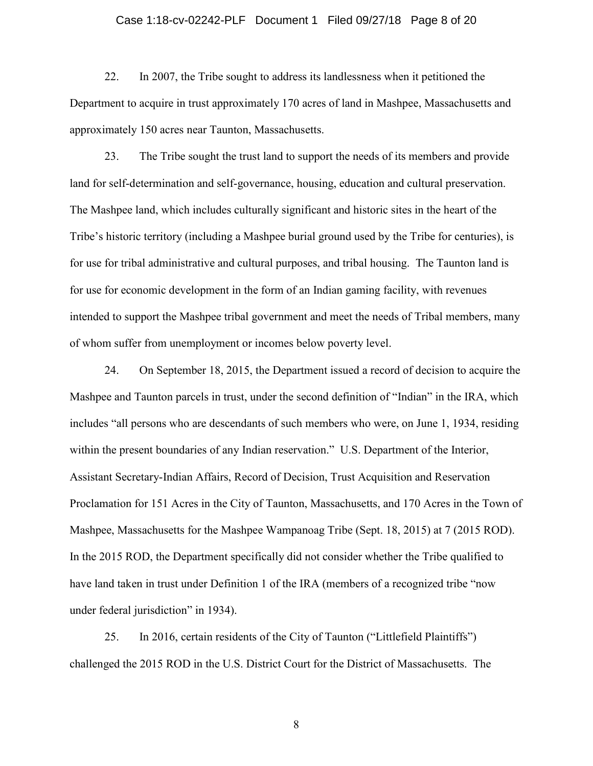### Case 1:18-cv-02242-PLF Document 1 Filed 09/27/18 Page 8 of 20

22. In 2007, the Tribe sought to address its landlessness when it petitioned the Department to acquire in trust approximately 170 acres of land in Mashpee, Massachusetts and approximately 150 acres near Taunton, Massachusetts.

23. The Tribe sought the trust land to support the needs of its members and provide land for self-determination and self-governance, housing, education and cultural preservation. The Mashpee land, which includes culturally significant and historic sites in the heart of the Tribe's historic territory (including a Mashpee burial ground used by the Tribe for centuries), is for use for tribal administrative and cultural purposes, and tribal housing. The Taunton land is for use for economic development in the form of an Indian gaming facility, with revenues intended to support the Mashpee tribal government and meet the needs of Tribal members, many of whom suffer from unemployment or incomes below poverty level.

24. On September 18, 2015, the Department issued a record of decision to acquire the Mashpee and Taunton parcels in trust, under the second definition of "Indian" in the IRA, which includes "all persons who are descendants of such members who were, on June 1, 1934, residing within the present boundaries of any Indian reservation." U.S. Department of the Interior, Assistant Secretary-Indian Affairs, Record of Decision, Trust Acquisition and Reservation Proclamation for 151 Acres in the City of Taunton, Massachusetts, and 170 Acres in the Town of Mashpee, Massachusetts for the Mashpee Wampanoag Tribe (Sept. 18, 2015) at 7 (2015 ROD). In the 2015 ROD, the Department specifically did not consider whether the Tribe qualified to have land taken in trust under Definition 1 of the IRA (members of a recognized tribe "now under federal jurisdiction" in 1934).

25. In 2016, certain residents of the City of Taunton ("Littlefield Plaintiffs") challenged the 2015 ROD in the U.S. District Court for the District of Massachusetts. The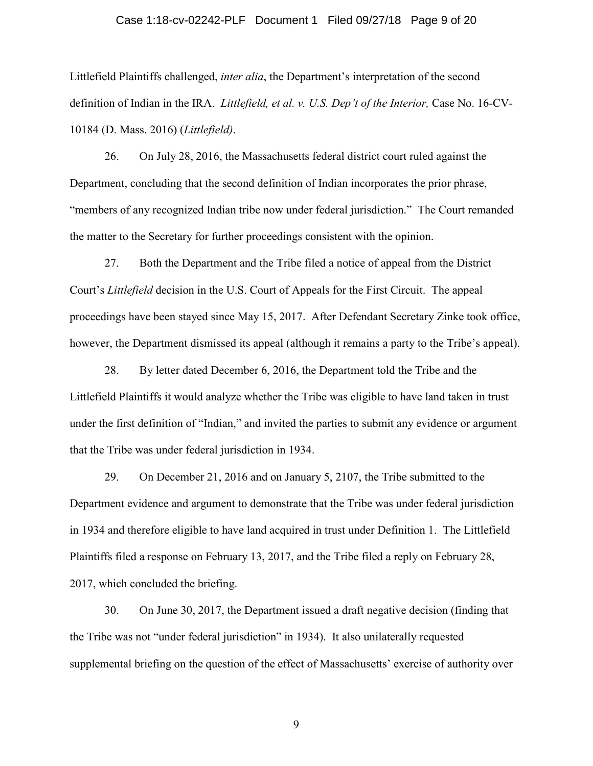## Case 1:18-cv-02242-PLF Document 1 Filed 09/27/18 Page 9 of 20

Littlefield Plaintiffs challenged, *inter alia*, the Department's interpretation of the second definition of Indian in the IRA. *Littlefield, et al. v. U.S. Dep't of the Interior*, Case No. 16-CV-10184 (D. Mass. 2016) (*Littlefield)*.

26. On July 28, 2016, the Massachusetts federal district court ruled against the Department, concluding that the second definition of Indian incorporates the prior phrase, "members of any recognized Indian tribe now under federal jurisdiction." The Court remanded the matter to the Secretary for further proceedings consistent with the opinion.

27. Both the Department and the Tribe filed a notice of appeal from the District Court's *Littlefield* decision in the U.S. Court of Appeals for the First Circuit. The appeal proceedings have been stayed since May 15, 2017. After Defendant Secretary Zinke took office, however, the Department dismissed its appeal (although it remains a party to the Tribe's appeal).

28. By letter dated December 6, 2016, the Department told the Tribe and the Littlefield Plaintiffs it would analyze whether the Tribe was eligible to have land taken in trust under the first definition of "Indian," and invited the parties to submit any evidence or argument that the Tribe was under federal jurisdiction in 1934.

29. On December 21, 2016 and on January 5, 2107, the Tribe submitted to the Department evidence and argument to demonstrate that the Tribe was under federal jurisdiction in 1934 and therefore eligible to have land acquired in trust under Definition 1. The Littlefield Plaintiffs filed a response on February 13, 2017, and the Tribe filed a reply on February 28, 2017, which concluded the briefing.

30. On June 30, 2017, the Department issued a draft negative decision (finding that the Tribe was not "under federal jurisdiction" in 1934). It also unilaterally requested supplemental briefing on the question of the effect of Massachusetts' exercise of authority over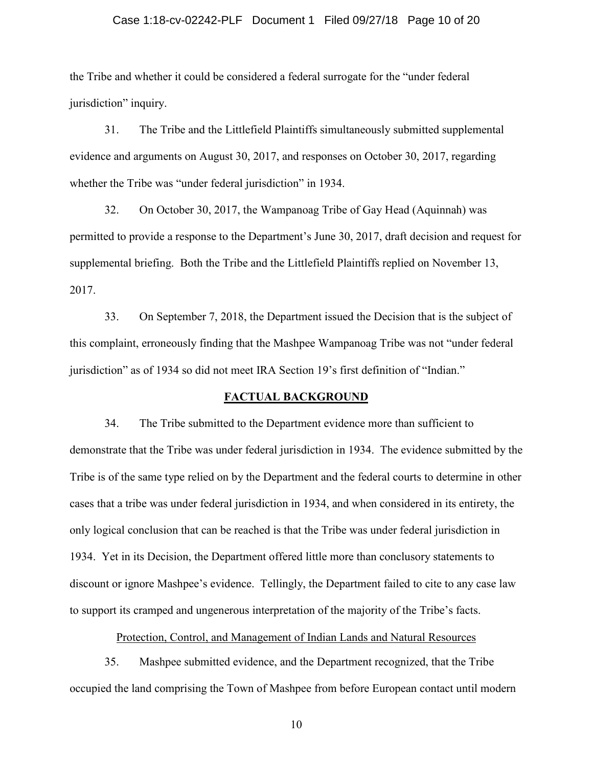### Case 1:18-cv-02242-PLF Document 1 Filed 09/27/18 Page 10 of 20

the Tribe and whether it could be considered a federal surrogate for the "under federal jurisdiction" inquiry.

31. The Tribe and the Littlefield Plaintiffs simultaneously submitted supplemental evidence and arguments on August 30, 2017, and responses on October 30, 2017, regarding whether the Tribe was "under federal jurisdiction" in 1934.

32. On October 30, 2017, the Wampanoag Tribe of Gay Head (Aquinnah) was permitted to provide a response to the Department's June 30, 2017, draft decision and request for supplemental briefing. Both the Tribe and the Littlefield Plaintiffs replied on November 13, 2017.

33. On September 7, 2018, the Department issued the Decision that is the subject of this complaint, erroneously finding that the Mashpee Wampanoag Tribe was not "under federal jurisdiction" as of 1934 so did not meet IRA Section 19's first definition of "Indian."

### **FACTUAL BACKGROUND**

34. The Tribe submitted to the Department evidence more than sufficient to demonstrate that the Tribe was under federal jurisdiction in 1934. The evidence submitted by the Tribe is of the same type relied on by the Department and the federal courts to determine in other cases that a tribe was under federal jurisdiction in 1934, and when considered in its entirety, the only logical conclusion that can be reached is that the Tribe was under federal jurisdiction in 1934. Yet in its Decision, the Department offered little more than conclusory statements to discount or ignore Mashpee's evidence. Tellingly, the Department failed to cite to any case law to support its cramped and ungenerous interpretation of the majority of the Tribe's facts.

Protection, Control, and Management of Indian Lands and Natural Resources

35. Mashpee submitted evidence, and the Department recognized, that the Tribe occupied the land comprising the Town of Mashpee from before European contact until modern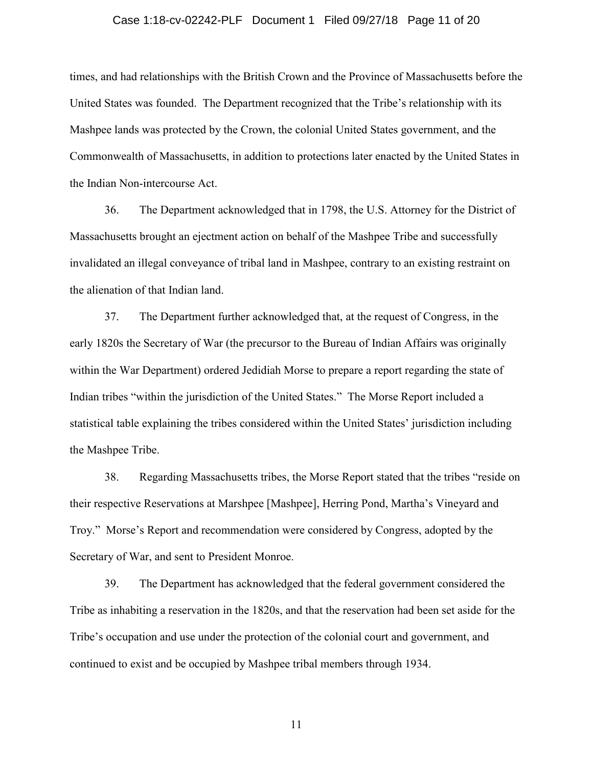### Case 1:18-cv-02242-PLF Document 1 Filed 09/27/18 Page 11 of 20

times, and had relationships with the British Crown and the Province of Massachusetts before the United States was founded. The Department recognized that the Tribe's relationship with its Mashpee lands was protected by the Crown, the colonial United States government, and the Commonwealth of Massachusetts, in addition to protections later enacted by the United States in the Indian Non-intercourse Act.

36. The Department acknowledged that in 1798, the U.S. Attorney for the District of Massachusetts brought an ejectment action on behalf of the Mashpee Tribe and successfully invalidated an illegal conveyance of tribal land in Mashpee, contrary to an existing restraint on the alienation of that Indian land.

37. The Department further acknowledged that, at the request of Congress, in the early 1820s the Secretary of War (the precursor to the Bureau of Indian Affairs was originally within the War Department) ordered Jedidiah Morse to prepare a report regarding the state of Indian tribes "within the jurisdiction of the United States." The Morse Report included a statistical table explaining the tribes considered within the United States' jurisdiction including the Mashpee Tribe.

38. Regarding Massachusetts tribes, the Morse Report stated that the tribes "reside on their respective Reservations at Marshpee [Mashpee], Herring Pond, Martha's Vineyard and Troy." Morse's Report and recommendation were considered by Congress, adopted by the Secretary of War, and sent to President Monroe.

39. The Department has acknowledged that the federal government considered the Tribe as inhabiting a reservation in the 1820s, and that the reservation had been set aside for the Tribe's occupation and use under the protection of the colonial court and government, and continued to exist and be occupied by Mashpee tribal members through 1934.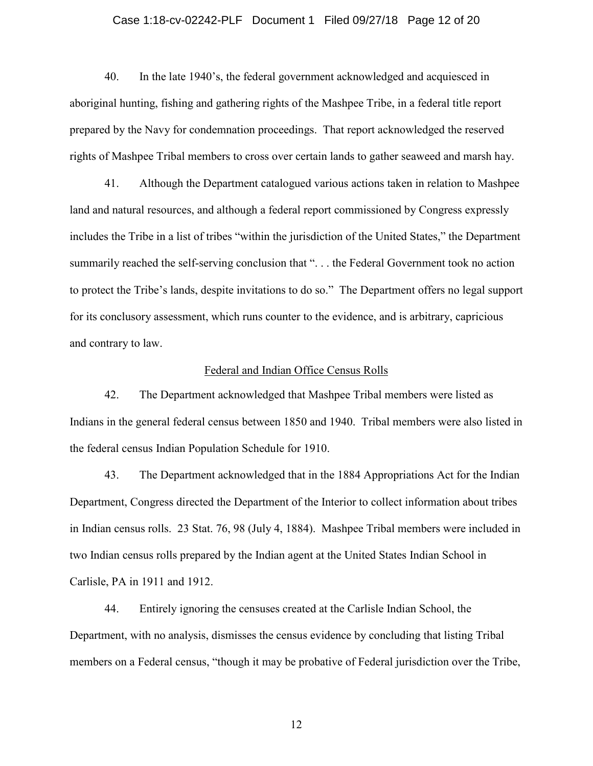# Case 1:18-cv-02242-PLF Document 1 Filed 09/27/18 Page 12 of 20

40. In the late 1940's, the federal government acknowledged and acquiesced in aboriginal hunting, fishing and gathering rights of the Mashpee Tribe, in a federal title report prepared by the Navy for condemnation proceedings. That report acknowledged the reserved rights of Mashpee Tribal members to cross over certain lands to gather seaweed and marsh hay.

41. Although the Department catalogued various actions taken in relation to Mashpee land and natural resources, and although a federal report commissioned by Congress expressly includes the Tribe in a list of tribes "within the jurisdiction of the United States," the Department summarily reached the self-serving conclusion that "... the Federal Government took no action to protect the Tribe's lands, despite invitations to do so." The Department offers no legal support for its conclusory assessment, which runs counter to the evidence, and is arbitrary, capricious and contrary to law.

### Federal and Indian Office Census Rolls

42. The Department acknowledged that Mashpee Tribal members were listed as Indians in the general federal census between 1850 and 1940. Tribal members were also listed in the federal census Indian Population Schedule for 1910.

43. The Department acknowledged that in the 1884 Appropriations Act for the Indian Department, Congress directed the Department of the Interior to collect information about tribes in Indian census rolls. 23 Stat. 76, 98 (July 4, 1884). Mashpee Tribal members were included in two Indian census rolls prepared by the Indian agent at the United States Indian School in Carlisle, PA in 1911 and 1912.

44. Entirely ignoring the censuses created at the Carlisle Indian School, the Department, with no analysis, dismisses the census evidence by concluding that listing Tribal members on a Federal census, "though it may be probative of Federal jurisdiction over the Tribe,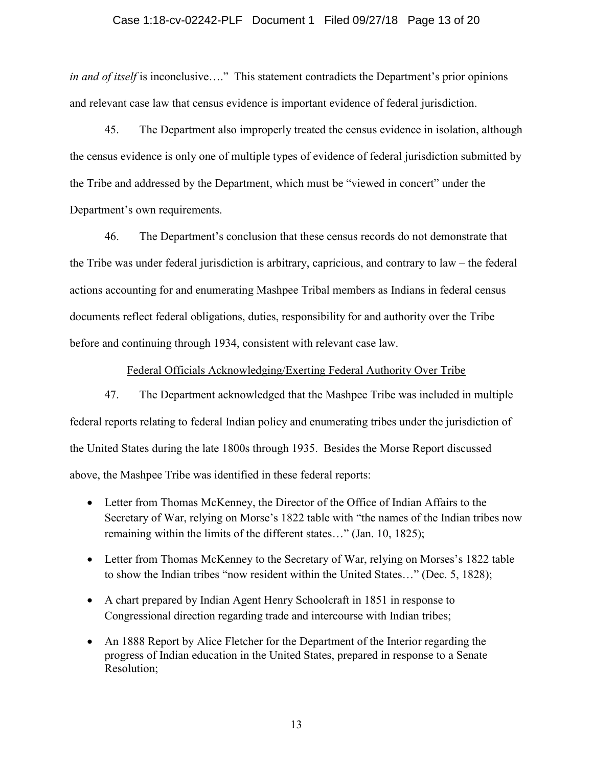## Case 1:18-cv-02242-PLF Document 1 Filed 09/27/18 Page 13 of 20

*in and of itself* is inconclusive...." This statement contradicts the Department's prior opinions and relevant case law that census evidence is important evidence of federal jurisdiction.

45. The Department also improperly treated the census evidence in isolation, although the census evidence is only one of multiple types of evidence of federal jurisdiction submitted by the Tribe and addressed by the Department, which must be "viewed in concert" under the Department's own requirements.

46. The Department's conclusion that these census records do not demonstrate that the Tribe was under federal jurisdiction is arbitrary, capricious, and contrary to law – the federal actions accounting for and enumerating Mashpee Tribal members as Indians in federal census documents reflect federal obligations, duties, responsibility for and authority over the Tribe before and continuing through 1934, consistent with relevant case law.

## Federal Officials Acknowledging/Exerting Federal Authority Over Tribe

47. The Department acknowledged that the Mashpee Tribe was included in multiple federal reports relating to federal Indian policy and enumerating tribes under the jurisdiction of the United States during the late 1800s through 1935. Besides the Morse Report discussed above, the Mashpee Tribe was identified in these federal reports:

- Letter from Thomas McKenney, the Director of the Office of Indian Affairs to the Secretary of War, relying on Morse's 1822 table with "the names of the Indian tribes now remaining within the limits of the different states…" (Jan. 10, 1825);
- Letter from Thomas McKenney to the Secretary of War, relying on Morses's 1822 table to show the Indian tribes "now resident within the United States…" (Dec. 5, 1828);
- A chart prepared by Indian Agent Henry Schoolcraft in 1851 in response to Congressional direction regarding trade and intercourse with Indian tribes;
- An 1888 Report by Alice Fletcher for the Department of the Interior regarding the progress of Indian education in the United States, prepared in response to a Senate Resolution;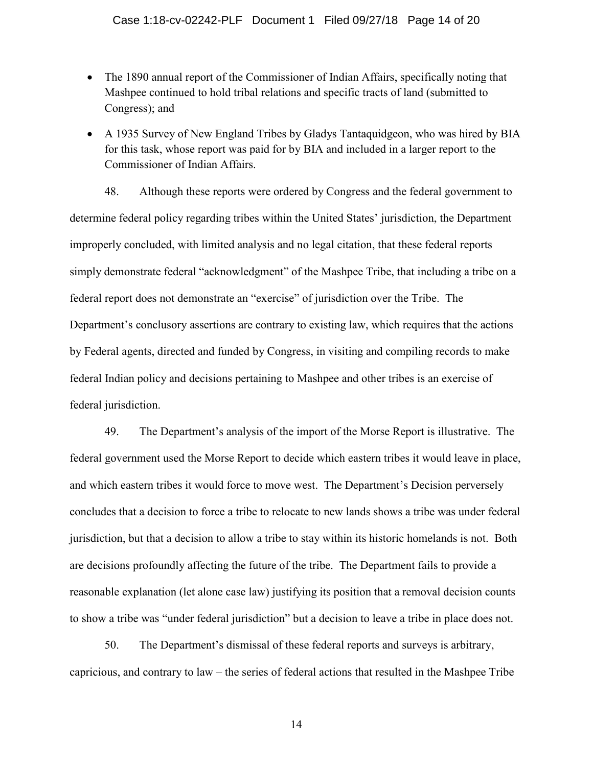- The 1890 annual report of the Commissioner of Indian Affairs, specifically noting that Mashpee continued to hold tribal relations and specific tracts of land (submitted to Congress); and
- A 1935 Survey of New England Tribes by Gladys Tantaquidgeon, who was hired by BIA for this task, whose report was paid for by BIA and included in a larger report to the Commissioner of Indian Affairs.

48. Although these reports were ordered by Congress and the federal government to determine federal policy regarding tribes within the United States' jurisdiction, the Department improperly concluded, with limited analysis and no legal citation, that these federal reports simply demonstrate federal "acknowledgment" of the Mashpee Tribe, that including a tribe on a federal report does not demonstrate an "exercise" of jurisdiction over the Tribe. The Department's conclusory assertions are contrary to existing law, which requires that the actions by Federal agents, directed and funded by Congress, in visiting and compiling records to make federal Indian policy and decisions pertaining to Mashpee and other tribes is an exercise of federal jurisdiction.

49. The Department's analysis of the import of the Morse Report is illustrative. The federal government used the Morse Report to decide which eastern tribes it would leave in place, and which eastern tribes it would force to move west. The Department's Decision perversely concludes that a decision to force a tribe to relocate to new lands shows a tribe was under federal jurisdiction, but that a decision to allow a tribe to stay within its historic homelands is not. Both are decisions profoundly affecting the future of the tribe. The Department fails to provide a reasonable explanation (let alone case law) justifying its position that a removal decision counts to show a tribe was "under federal jurisdiction" but a decision to leave a tribe in place does not.

50. The Department's dismissal of these federal reports and surveys is arbitrary, capricious, and contrary to law – the series of federal actions that resulted in the Mashpee Tribe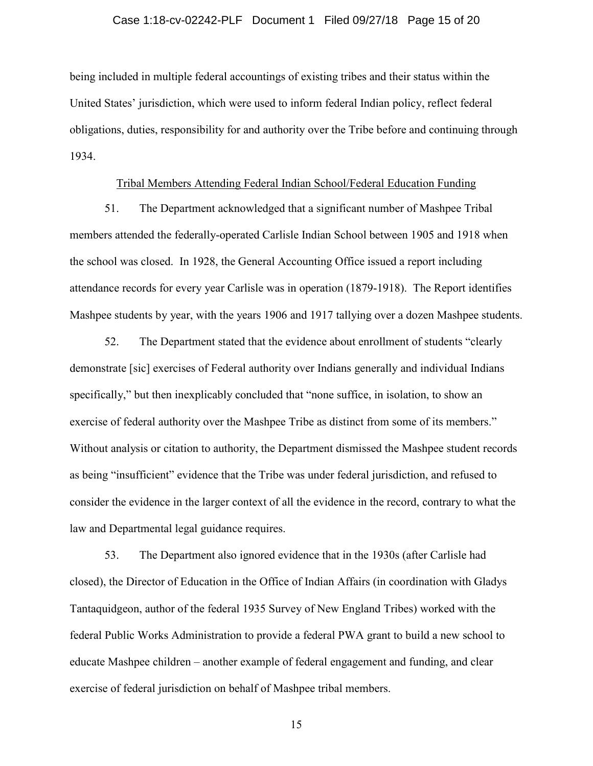## Case 1:18-cv-02242-PLF Document 1 Filed 09/27/18 Page 15 of 20

being included in multiple federal accountings of existing tribes and their status within the United States' jurisdiction, which were used to inform federal Indian policy, reflect federal obligations, duties, responsibility for and authority over the Tribe before and continuing through 1934.

## Tribal Members Attending Federal Indian School/Federal Education Funding

51. The Department acknowledged that a significant number of Mashpee Tribal members attended the federally-operated Carlisle Indian School between 1905 and 1918 when the school was closed. In 1928, the General Accounting Office issued a report including attendance records for every year Carlisle was in operation (1879-1918). The Report identifies Mashpee students by year, with the years 1906 and 1917 tallying over a dozen Mashpee students.

52. The Department stated that the evidence about enrollment of students "clearly demonstrate [sic] exercises of Federal authority over Indians generally and individual Indians specifically," but then inexplicably concluded that "none suffice, in isolation, to show an exercise of federal authority over the Mashpee Tribe as distinct from some of its members." Without analysis or citation to authority, the Department dismissed the Mashpee student records as being "insufficient" evidence that the Tribe was under federal jurisdiction, and refused to consider the evidence in the larger context of all the evidence in the record, contrary to what the law and Departmental legal guidance requires.

53. The Department also ignored evidence that in the 1930s (after Carlisle had closed), the Director of Education in the Office of Indian Affairs (in coordination with Gladys Tantaquidgeon, author of the federal 1935 Survey of New England Tribes) worked with the federal Public Works Administration to provide a federal PWA grant to build a new school to educate Mashpee children – another example of federal engagement and funding, and clear exercise of federal jurisdiction on behalf of Mashpee tribal members.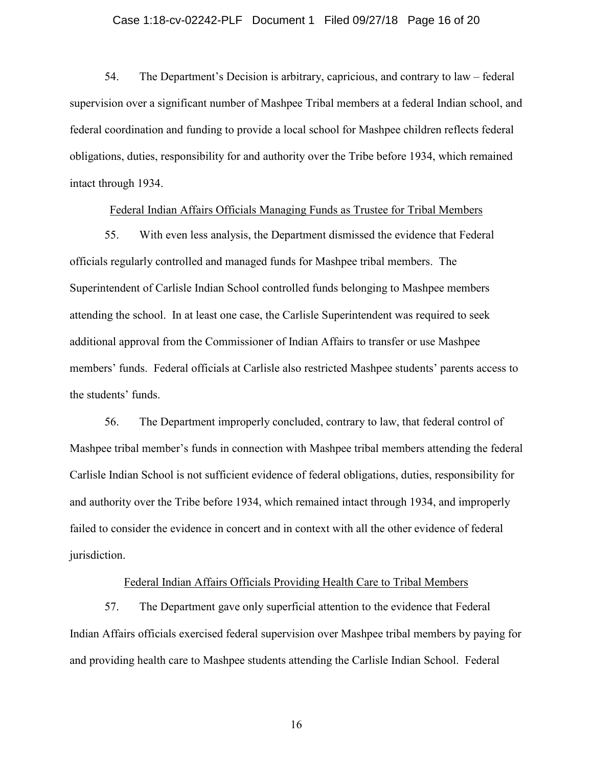# Case 1:18-cv-02242-PLF Document 1 Filed 09/27/18 Page 16 of 20

54. The Department's Decision is arbitrary, capricious, and contrary to law – federal supervision over a significant number of Mashpee Tribal members at a federal Indian school, and federal coordination and funding to provide a local school for Mashpee children reflects federal obligations, duties, responsibility for and authority over the Tribe before 1934, which remained intact through 1934.

### Federal Indian Affairs Officials Managing Funds as Trustee for Tribal Members

55. With even less analysis, the Department dismissed the evidence that Federal officials regularly controlled and managed funds for Mashpee tribal members. The Superintendent of Carlisle Indian School controlled funds belonging to Mashpee members attending the school. In at least one case, the Carlisle Superintendent was required to seek additional approval from the Commissioner of Indian Affairs to transfer or use Mashpee members' funds. Federal officials at Carlisle also restricted Mashpee students' parents access to the students' funds.

56. The Department improperly concluded, contrary to law, that federal control of Mashpee tribal member's funds in connection with Mashpee tribal members attending the federal Carlisle Indian School is not sufficient evidence of federal obligations, duties, responsibility for and authority over the Tribe before 1934, which remained intact through 1934, and improperly failed to consider the evidence in concert and in context with all the other evidence of federal jurisdiction.

## Federal Indian Affairs Officials Providing Health Care to Tribal Members

57. The Department gave only superficial attention to the evidence that Federal Indian Affairs officials exercised federal supervision over Mashpee tribal members by paying for and providing health care to Mashpee students attending the Carlisle Indian School. Federal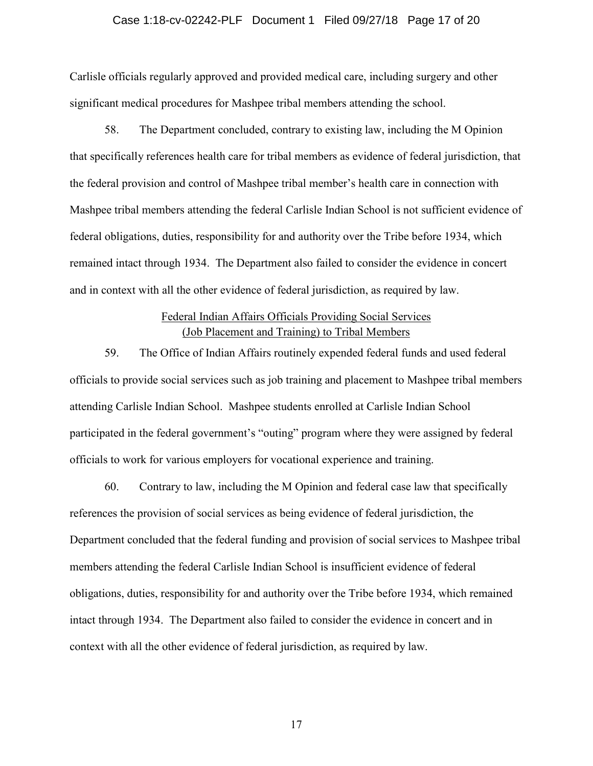## Case 1:18-cv-02242-PLF Document 1 Filed 09/27/18 Page 17 of 20

Carlisle officials regularly approved and provided medical care, including surgery and other significant medical procedures for Mashpee tribal members attending the school.

58. The Department concluded, contrary to existing law, including the M Opinion that specifically references health care for tribal members as evidence of federal jurisdiction, that the federal provision and control of Mashpee tribal member's health care in connection with Mashpee tribal members attending the federal Carlisle Indian School is not sufficient evidence of federal obligations, duties, responsibility for and authority over the Tribe before 1934, which remained intact through 1934. The Department also failed to consider the evidence in concert and in context with all the other evidence of federal jurisdiction, as required by law.

# Federal Indian Affairs Officials Providing Social Services (Job Placement and Training) to Tribal Members

59. The Office of Indian Affairs routinely expended federal funds and used federal officials to provide social services such as job training and placement to Mashpee tribal members attending Carlisle Indian School. Mashpee students enrolled at Carlisle Indian School participated in the federal government's "outing" program where they were assigned by federal officials to work for various employers for vocational experience and training.

60. Contrary to law, including the M Opinion and federal case law that specifically references the provision of social services as being evidence of federal jurisdiction, the Department concluded that the federal funding and provision of social services to Mashpee tribal members attending the federal Carlisle Indian School is insufficient evidence of federal obligations, duties, responsibility for and authority over the Tribe before 1934, which remained intact through 1934. The Department also failed to consider the evidence in concert and in context with all the other evidence of federal jurisdiction, as required by law.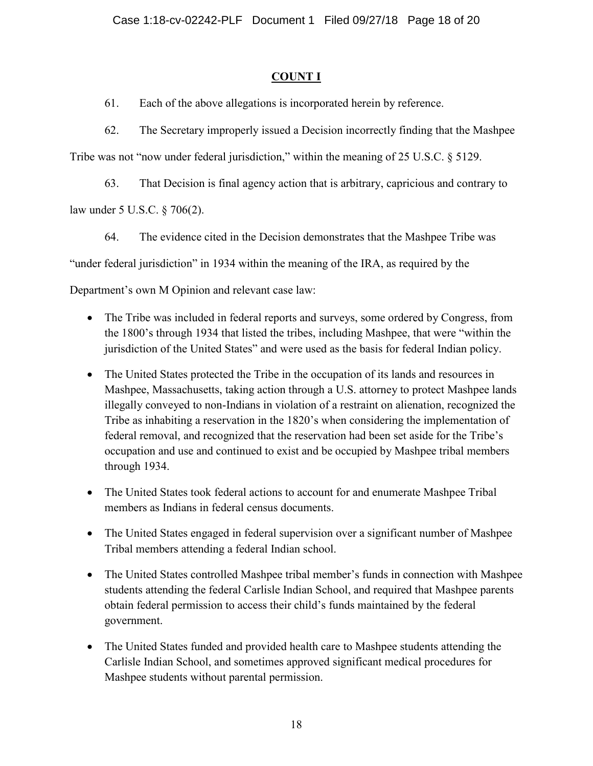# **COUNT I**

61. Each of the above allegations is incorporated herein by reference.

62. The Secretary improperly issued a Decision incorrectly finding that the Mashpee

Tribe was not "now under federal jurisdiction," within the meaning of 25 U.S.C. § 5129.

63. That Decision is final agency action that is arbitrary, capricious and contrary to

law under 5 U.S.C. § 706(2).

64. The evidence cited in the Decision demonstrates that the Mashpee Tribe was "under federal jurisdiction" in 1934 within the meaning of the IRA, as required by the Department's own M Opinion and relevant case law:

- The Tribe was included in federal reports and surveys, some ordered by Congress, from the 1800's through 1934 that listed the tribes, including Mashpee, that were "within the jurisdiction of the United States" and were used as the basis for federal Indian policy.
- The United States protected the Tribe in the occupation of its lands and resources in Mashpee, Massachusetts, taking action through a U.S. attorney to protect Mashpee lands illegally conveyed to non-Indians in violation of a restraint on alienation, recognized the Tribe as inhabiting a reservation in the 1820's when considering the implementation of federal removal, and recognized that the reservation had been set aside for the Tribe's occupation and use and continued to exist and be occupied by Mashpee tribal members through 1934.
- The United States took federal actions to account for and enumerate Mashpee Tribal members as Indians in federal census documents.
- The United States engaged in federal supervision over a significant number of Mashpee Tribal members attending a federal Indian school.
- The United States controlled Mashpee tribal member's funds in connection with Mashpee students attending the federal Carlisle Indian School, and required that Mashpee parents obtain federal permission to access their child's funds maintained by the federal government.
- The United States funded and provided health care to Mashpee students attending the Carlisle Indian School, and sometimes approved significant medical procedures for Mashpee students without parental permission.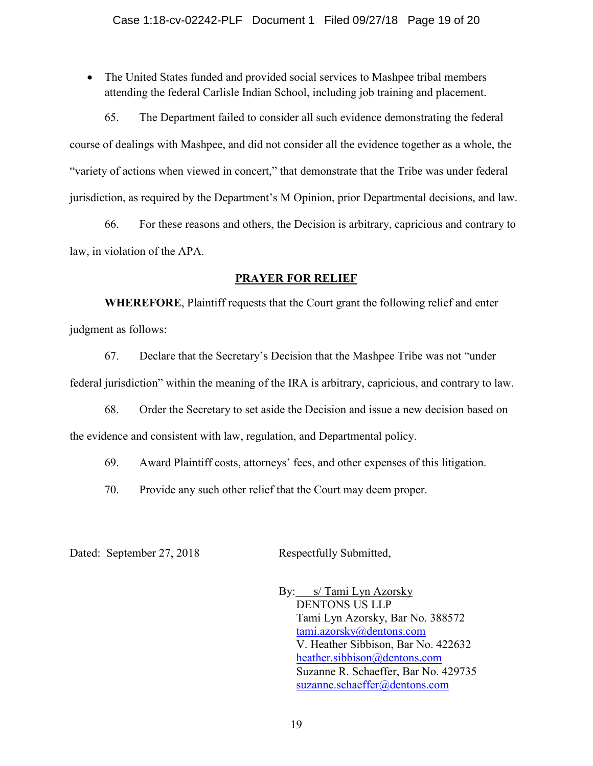• The United States funded and provided social services to Mashpee tribal members attending the federal Carlisle Indian School, including job training and placement.

65. The Department failed to consider all such evidence demonstrating the federal course of dealings with Mashpee, and did not consider all the evidence together as a whole, the "variety of actions when viewed in concert," that demonstrate that the Tribe was under federal jurisdiction, as required by the Department's M Opinion, prior Departmental decisions, and law.

66. For these reasons and others, the Decision is arbitrary, capricious and contrary to law, in violation of the APA.

## **PRAYER FOR RELIEF**

**WHEREFORE**, Plaintiff requests that the Court grant the following relief and enter judgment as follows:

67. Declare that the Secretary's Decision that the Mashpee Tribe was not "under federal jurisdiction" within the meaning of the IRA is arbitrary, capricious, and contrary to law.

68. Order the Secretary to set aside the Decision and issue a new decision based on the evidence and consistent with law, regulation, and Departmental policy.

69. Award Plaintiff costs, attorneys' fees, and other expenses of this litigation.

70. Provide any such other relief that the Court may deem proper.

Dated: September 27, 2018 Respectfully Submitted,

By: s/ Tami Lyn Azorsky DENTONS US LLP Tami Lyn Azorsky, Bar No. 388572 tami.azorsky@dentons.com V. Heather Sibbison, Bar No. 422632 heather.sibbison@dentons.com Suzanne R. Schaeffer, Bar No. 429735 suzanne.schaeffer@dentons.com